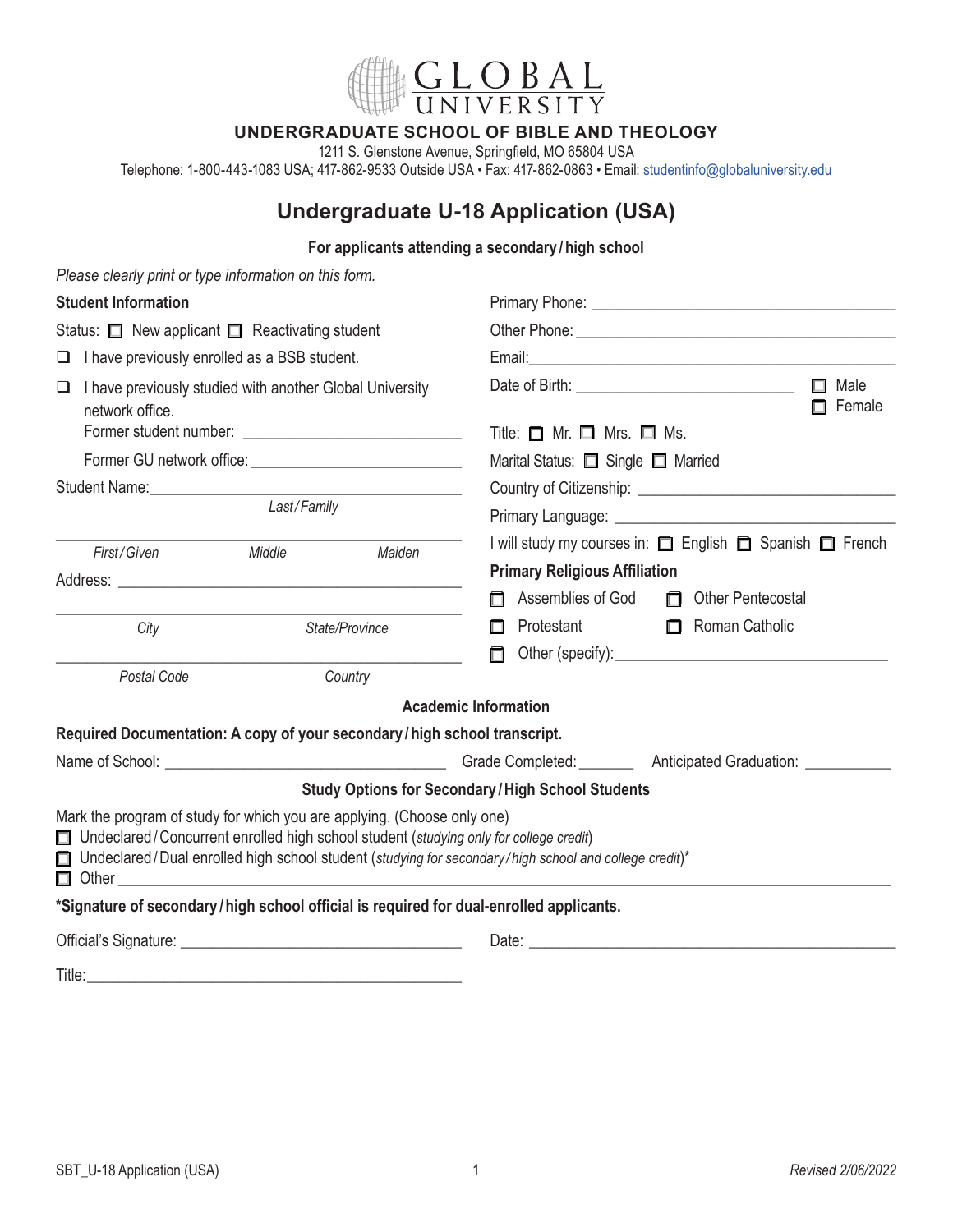

## **UNDERGRADUATE SCHOOL OF BIBLE AND THEOLOGY**

1211 S. Glenstone Avenue, Springfield, MO 65804 USA

Telephone: 1-800-443-1083 USA; 417-862-9533 Outside USA • Fax: 417-862-0863 • Email: [studentinfo@globaluniversity.edu](mailto:studentinfo%40globaluniversity.edu?subject=)

# **Undergraduate U-18 Application (USA)**

#### **For applicants attending a secondary /high school**

| Please clearly print or type information on this form.                                                                                                                                      |        |                                          |                                                                                                                |                                                                                                                                                                                                                                                  |
|---------------------------------------------------------------------------------------------------------------------------------------------------------------------------------------------|--------|------------------------------------------|----------------------------------------------------------------------------------------------------------------|--------------------------------------------------------------------------------------------------------------------------------------------------------------------------------------------------------------------------------------------------|
| <b>Student Information</b>                                                                                                                                                                  |        |                                          |                                                                                                                |                                                                                                                                                                                                                                                  |
| Status: $\Box$ New applicant $\Box$ Reactivating student                                                                                                                                    |        |                                          |                                                                                                                |                                                                                                                                                                                                                                                  |
| $\Box$ I have previously enrolled as a BSB student.                                                                                                                                         |        |                                          |                                                                                                                |                                                                                                                                                                                                                                                  |
| $\Box$ I have previously studied with another Global University<br>network office.                                                                                                          |        | Title: $\Box$ Mr. $\Box$ Mrs. $\Box$ Ms. | $\Box$ Male<br>$\Box$ Female                                                                                   |                                                                                                                                                                                                                                                  |
|                                                                                                                                                                                             |        |                                          | Marital Status: <b>O</b> Single <b>O</b> Married                                                               |                                                                                                                                                                                                                                                  |
|                                                                                                                                                                                             |        |                                          |                                                                                                                |                                                                                                                                                                                                                                                  |
| Last/Family                                                                                                                                                                                 |        |                                          |                                                                                                                | Primary Language: New York School and School and School and School and School and School and School and School                                                                                                                                   |
| First/Given                                                                                                                                                                                 | Middle | Maiden                                   | <b>Primary Religious Affiliation</b>                                                                           | I will study my courses in: □ English □ Spanish □ French                                                                                                                                                                                         |
|                                                                                                                                                                                             |        |                                          | Assemblies of God<br>П.                                                                                        | Other Pentecostal                                                                                                                                                                                                                                |
| City                                                                                                                                                                                        |        | State/Province                           | Protestant<br>П<br>п                                                                                           | Roman Catholic<br>Other (specify): example and the state of the state of the state of the state of the state of the state of the state of the state of the state of the state of the state of the state of the state of the state of the state o |
| Postal Code                                                                                                                                                                                 |        | Country                                  |                                                                                                                |                                                                                                                                                                                                                                                  |
|                                                                                                                                                                                             |        |                                          | <b>Academic Information</b>                                                                                    |                                                                                                                                                                                                                                                  |
| Required Documentation: A copy of your secondary / high school transcript.                                                                                                                  |        |                                          |                                                                                                                |                                                                                                                                                                                                                                                  |
|                                                                                                                                                                                             |        |                                          |                                                                                                                | Name of School: <u>Name of School:</u> Name of School: Name of School: Name of School: Name of School: Name of School: Name of School: Name of School: Name of School: Name of School: Name of School: Name of School: Name of Scho              |
|                                                                                                                                                                                             |        |                                          | <b>Study Options for Secondary/High School Students</b>                                                        |                                                                                                                                                                                                                                                  |
| Mark the program of study for which you are applying. (Choose only one)<br>□ Undeclared / Concurrent enrolled high school student (studying only for college credit)<br>$\Box$ Other $\Box$ |        |                                          | $\Box$ Undeclared / Dual enrolled high school student (studying for secondary/high school and college credit)* |                                                                                                                                                                                                                                                  |
| *Signature of secondary/high school official is required for dual-enrolled applicants.                                                                                                      |        |                                          |                                                                                                                |                                                                                                                                                                                                                                                  |
|                                                                                                                                                                                             |        |                                          |                                                                                                                |                                                                                                                                                                                                                                                  |
| Title:                                                                                                                                                                                      |        |                                          |                                                                                                                |                                                                                                                                                                                                                                                  |